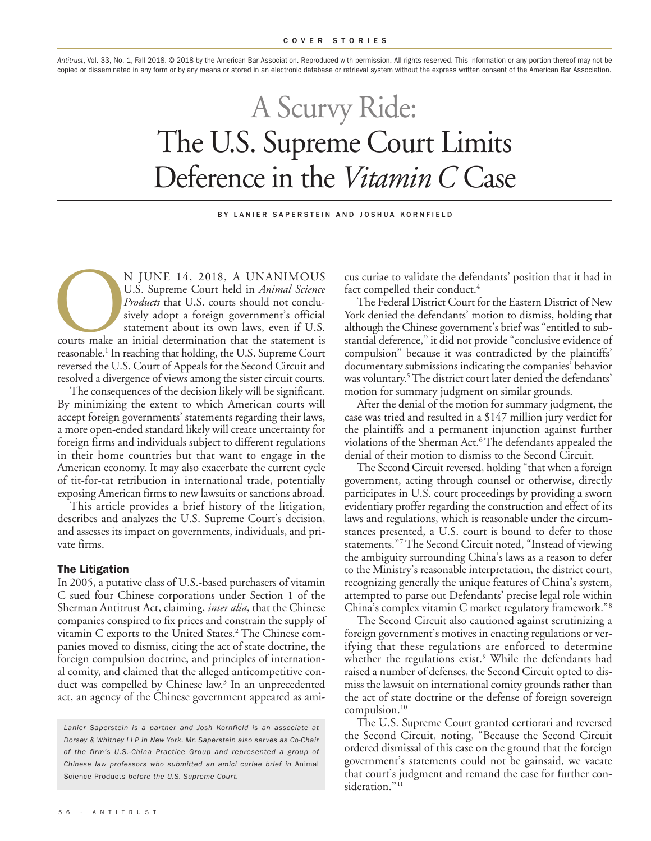*Antitrust*, Vol. 33, No. 1, Fall 2018. © 2018 by the American Bar Association. Reproduced with permission. All rights reserved. This information or any portion thereof may not be copied or disseminated in any form or by any means or stored in an electronic database or retrieval system without the express written consent of the American Bar Association.

# A Scurvy Ride: The U.S. Supreme Court Limits Deference in the *Vitamin* C Case

BY LANIER SAPERSTEIN AND JOSHUA KORNEIELD

N JUNE 14, 2018, A UNANIMOUS<br>
U.S. Supreme Court held in *Animal Science*<br> *Products* that U.S. courts should not conclu-<br>
sively adopt a foreign government's official<br>
statement about its own laws, even if U.S.<br>
courts ma U.S. Supreme Court held in *Animal Science Products* that U.S. courts should not conclusively adopt a foreign government's official statement about its own laws, even if U.S. reasonable. <sup>1</sup> In reaching that holding, the U.S. Supreme Court reversed the U.S. Court of Appeals for the Second Circuit and resolved a divergence of views among the sister circuit courts.

The consequences of the decision likely will be significant. By minimizing the extent to which American courts will accept foreign governments' statements regarding their laws, a more open-ended standard likely will create uncertainty for foreign firms and individuals subject to different regulations in their home countries but that want to engage in the American economy. It may also exacerbate the current cycle of tit-for-tat retribution in international trade, potentially exposing American firms to new lawsuits or sanctions abroad.

This article provides a brief history of the litigation, describes and analyzes the U.S. Supreme Court's decision, and assesses its impact on governments, individuals, and private firms.

## **The Litigation**

In 2005, a putative class of U.S.-based purchasers of vitamin C sued four Chinese corporations under Section 1 of the Sherman Antitrust Act, claiming, *inter alia*, that the Chinese companies conspired to fix prices and constrain the supply of vitamin C exports to the United States. <sup>2</sup> The Chinese companies moved to dismiss, citing the act of state doctrine, the foreign compulsion doctrine, and principles of international comity, and claimed that the alleged anticompetitive conduct was compelled by Chinese law. <sup>3</sup> In an unprecedented act, an agency of the Chinese government appeared as ami-

*Lanier Saperstein is a partner and Josh Kornfield is an associate at Dorsey & Whitney LLP in New York. Mr. Saperstein also serves as Co-Chair of the firm's U.S.-China Practice Group and represented a group of Chinese law professors who submitted an amici curiae brief in* Animal Science Products *before the U.S. Supreme Court.*

cus curiae to validate the defendants' position that it had in fact compelled their conduct. 4

The Federal District Court for the Eastern District of New York denied the defendants' motion to dismiss, holding that although the Chinese government's brief was "entitled to substantial deference," it did not provide "conclusive evidence of compulsion" because it was contradicted by the plaintiffs' documentary submissions indicating the companies' behavior was voluntary. 5The district court later denied the defendants' motion for summary judgment on similar grounds.

After the denial of the motion for summary judgment, the case was tried and resulted in a \$147 million jury verdict for the plaintiffs and a permanent injunction against further violations of the Sherman Act. <sup>6</sup> The defendants appealed the denial of their motion to dismiss to the Second Circuit.

The Second Circuit reversed, holding "that when a foreign government, acting through counsel or otherwise, directly participates in U.S. court proceedings by providing a sworn evidentiary proffer regarding the construction and effect of its laws and regulations, which is reasonable under the circumstances presented, a U.S. court is bound to defer to those statements."7 The Second Circuit noted, "Instead of viewing the ambiguity surrounding China's laws as a reason to defer to the Ministry's reasonable interpretation, the district court, recognizing generally the unique features of China's system, attempted to parse out Defendants' precise legal role within China's complex vitamin C market regulatory framework."8

The Second Circuit also cautioned against scrutinizing a foreign government's motives in enacting regulations or verifying that these regulations are enforced to determine whether the regulations exist. <sup>9</sup> While the defendants had raised a number of defenses, the Second Circuit opted to dismiss the lawsuit on international comity grounds rather than the act of state doctrine or the defense of foreign sovereign compulsion. 10

The U.S. Supreme Court granted certiorari and reversed the Second Circuit, noting, "Because the Second Circuit ordered dismissal of this case on the ground that the foreign government's statements could not be gainsaid, we vacate that court's judgment and remand the case for further consideration."<sup>11</sup>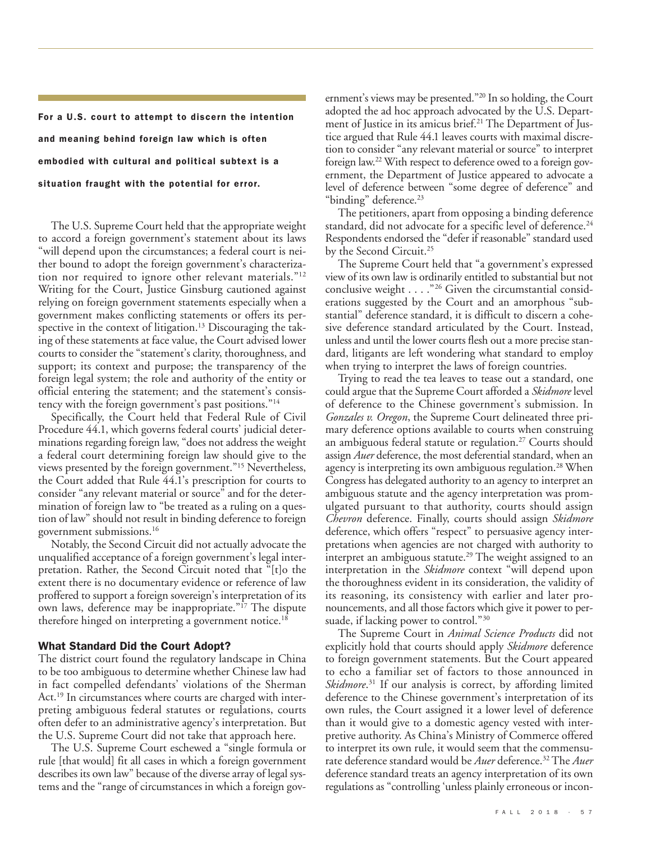**For a U.S. court to attempt to discern the intention and meaning behind foreign law which is often embodied with cultural and political subtext is a situation fraught with the potential for error.**

The U.S. Supreme Court held that the appropriate weight to accord a foreign government's statement about its laws "will depend upon the circumstances; a federal court is neither bound to adopt the foreign government's characterization nor required to ignore other relevant materials."12 Writing for the Court, Justice Ginsburg cautioned against relying on foreign government statements especially when a government makes conflicting statements or offers its perspective in the context of litigation. <sup>13</sup> Discouraging the taking of these statements at face value, the Court advised lower courts to consider the "statement's clarity, thoroughness, and support; its context and purpose; the transparency of the foreign legal system; the role and authority of the entity or official entering the statement; and the statement's consistency with the foreign government's past positions."14

Specifically, the Court held that Federal Rule of Civil Procedure 44.1, which governs federal courts' judicial determinations regarding foreign law, "does not address the weight a federal court determining foreign law should give to the views presented by the foreign government."15 Nevertheless, the Court added that Rule 44.1's prescription for courts to consider "any relevant material or source" and for the determination of foreign law to "be treated as a ruling on a question of law" should not result in binding deference to foreign government submissions. 16

Notably, the Second Circuit did not actually advocate the unqualified acceptance of a foreign government's legal interpretation. Rather, the Second Circuit noted that "[t]o the extent there is no documentary evidence or reference of law proffered to support a foreign sovereign's interpretation of its own laws, deference may be inappropriate."17 The dispute therefore hinged on interpreting a government notice. 18

## **What Standard Did the Court Adopt?**

The district court found the regulatory landscape in China to be too ambiguous to determine whether Chinese law had in fact compelled defendants' violations of the Sherman Act.<sup>19</sup> In circumstances where courts are charged with interpreting ambiguous federal statutes or regulations, courts often defer to an administrative agency's interpretation. But the U.S. Supreme Court did not take that approach here.

The U.S. Supreme Court eschewed a "single formula or rule [that would] fit all cases in which a foreign government describes its own law" because of the diverse array of legal systems and the "range of circumstances in which a foreign government's views may be presented."20 In so holding, the Court adopted the ad hoc approach advocated by the  $\overline{U}$ .S. Department of Justice in its amicus brief. <sup>21</sup> The Department of Justice argued that Rule 44.1 leaves courts with maximal discretion to consider "any relevant material or source" to interpret foreign law.<sup>22</sup> With respect to deference owed to a foreign government, the Department of Justice appeared to advocate a level of deference between "some degree of deference" and "binding" deference.<sup>23</sup>

The petitioners, apart from opposing a binding deference standard, did not advocate for a specific level of deference. 24 Respondents endorsed the "defer if reasonable" standard used by the Second Circuit. 25

The Supreme Court held that "a government's expressed view of its own law is ordinarily entitled to substantial but not conclusive weight . . . ."26 Given the circumstantial considerations suggested by the Court and an amorphous "substantial" deference standard, it is difficult to discern a cohesive deference standard articulated by the Court. Instead, unless and until the lower courts flesh out a more precise standard, litigants are left wondering what standard to employ when trying to interpret the laws of foreign countries.

Trying to read the tea leaves to tease out a standard, one could argue that the Supreme Court afforded a *Skidmore* level of deference to the Chinese government's submission. In *Gonzales v. Oregon*, the Supreme Court delineated three primary deference options available to courts when construing an ambiguous federal statute or regulation. <sup>27</sup> Courts should assign *Auer* deference, the most deferential standard, when an agency is interpreting its own ambiguous regulation. <sup>28</sup> When Congress has delegated authority to an agency to interpret an ambiguous statute and the agency interpretation was promulgated pursuant to that authority, courts should assign *Chevron* deference. Finally, courts should assign *Skidmore* deference, which offers "respect" to persuasive agency interpretations when agencies are not charged with authority to interpret an ambiguous statute. <sup>29</sup> The weight assigned to an interpretation in the *Skidmore* context "will depend upon the thoroughness evident in its consideration, the validity of its reasoning, its consistency with earlier and later pronouncements, and all those factors which give it power to persuade, if lacking power to control."<sup>30</sup>

The Supreme Court in *Animal Science Products* did not explicitly hold that courts should apply *Skidmore* deference to foreign government statements. But the Court appeared to echo a familiar set of factors to those announced in Skidmore.<sup>31</sup> If our analysis is correct, by affording limited deference to the Chinese government's interpretation of its own rules, the Court assigned it a lower level of deference than it would give to a domestic agency vested with interpretive authority. As China's Ministry of Commerce offered to interpret its own rule, it would seem that the commensurate deference standard would be *Auer* deference. <sup>32</sup> The *Auer* deference standard treats an agency interpretation of its own regulations as "controlling 'unless plainly erroneous or incon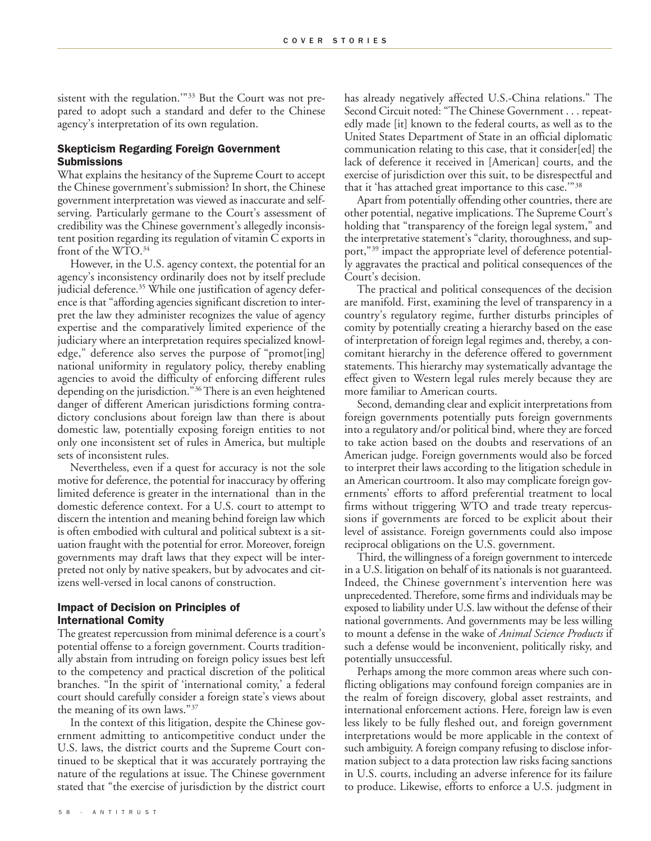sistent with the regulation."<sup>33</sup> But the Court was not prepared to adopt such a standard and defer to the Chinese agency's interpretation of its own regulation.

## **Skepticism Regarding Foreign Government Submissions**

What explains the hesitancy of the Supreme Court to accept the Chinese government's submission? In short, the Chinese government interpretation was viewed as inaccurate and selfserving. Particularly germane to the Court's assessment of credibility was the Chinese government's allegedly inconsistent position regarding its regulation of vitamin C exports in front of the WTO. 34

However, in the U.S. agency context, the potential for an agency's inconsistency ordinarily does not by itself preclude judicial deference. <sup>35</sup> While one justification of agency deference is that "affording agencies significant discretion to interpret the law they administer recognizes the value of agency expertise and the comparatively limited experience of the judiciary where an interpretation requires specialized knowledge," deference also serves the purpose of "promot[ing] national uniformity in regulatory policy, thereby enabling agencies to avoid the difficulty of enforcing different rules depending on the jurisdiction."36There is an even heightened danger of different American jurisdictions forming contradictory conclusions about foreign law than there is about domestic law, potentially exposing foreign entities to not only one inconsistent set of rules in America, but multiple sets of inconsistent rules.

Nevertheless, even if a quest for accuracy is not the sole motive for deference, the potential for inaccuracy by offering limited deference is greater in the international than in the domestic deference context. For a U.S. court to attempt to discern the intention and meaning behind foreign law which is often embodied with cultural and political subtext is a situation fraught with the potential for error. Moreover, foreign governments may draft laws that they expect will be interpreted not only by native speakers, but by advocates and citizens well-versed in local canons of construction.

## **Impact of Decision on Principles of International Comity**

The greatest repercussion from minimal deference is a court's potential offense to a foreign government. Courts traditionally abstain from intruding on foreign policy issues best left to the competency and practical discretion of the political branches. "In the spirit of 'international comity,' a federal court should carefully consider a foreign state's views about the meaning of its own laws."37

In the context of this litigation, despite the Chinese government admitting to anticompetitive conduct under the U.S. laws, the district courts and the Supreme Court continued to be skeptical that it was accurately portraying the nature of the regulations at issue. The Chinese government stated that "the exercise of jurisdiction by the district court has already negatively affected U.S.-China relations." The Second Circuit noted: "The Chinese Government . . . repeatedly made [it] known to the federal courts, as well as to the United States Department of State in an official diplomatic communication relating to this case, that it consider[ed] the lack of deference it received in [American] courts, and the exercise of jurisdiction over this suit, to be disrespectful and that it 'has attached great importance to this case.'"38

Apart from potentially offending other countries, there are other potential, negative implications. The Supreme Court's holding that "transparency of the foreign legal system," and the interpretative statement's "clarity, thoroughness, and support,"<sup>39</sup> impact the appropriate level of deference potentially aggravates the practical and political consequences of the Court's decision.

The practical and political consequences of the decision are manifold. First, examining the level of transparency in a country's regulatory regime, further disturbs principles of comity by potentially creating a hierarchy based on the ease of interpretation of foreign legal regimes and, thereby, a concomitant hierarchy in the deference offered to government statements. This hierarchy may systematically advantage the effect given to Western legal rules merely because they are more familiar to American courts.

Second, demanding clear and explicit interpretations from foreign governments potentially puts foreign governments into a regulatory and/or political bind, where they are forced to take action based on the doubts and reservations of an American judge. Foreign governments would also be forced to interpret their laws according to the litigation schedule in an American courtroom. It also may complicate foreign governments' efforts to afford preferential treatment to local firms without triggering WTO and trade treaty repercussions if governments are forced to be explicit about their level of assistance. Foreign governments could also impose reciprocal obligations on the U.S. government.

Third, the willingness of a foreign government to intercede in a U.S. litigation on behalf of its nationals is not guaranteed. Indeed, the Chinese government's intervention here was unprecedented. Therefore, some firms and individuals may be exposed to liability under U.S. law without the defense of their national governments. And governments may be less willing to mount a defense in the wake of *Animal Science Products* if such a defense would be inconvenient, politically risky, and potentially unsuccessful.

Perhaps among the more common areas where such conflicting obligations may confound foreign companies are in the realm of foreign discovery, global asset restraints, and international enforcement actions. Here, foreign law is even less likely to be fully fleshed out, and foreign government interpretations would be more applicable in the context of such ambiguity. A foreign company refusing to disclose information subject to a data protection law risks facing sanctions in U.S. courts, including an adverse inference for its failure to produce. Likewise, efforts to enforce a U.S. judgment in